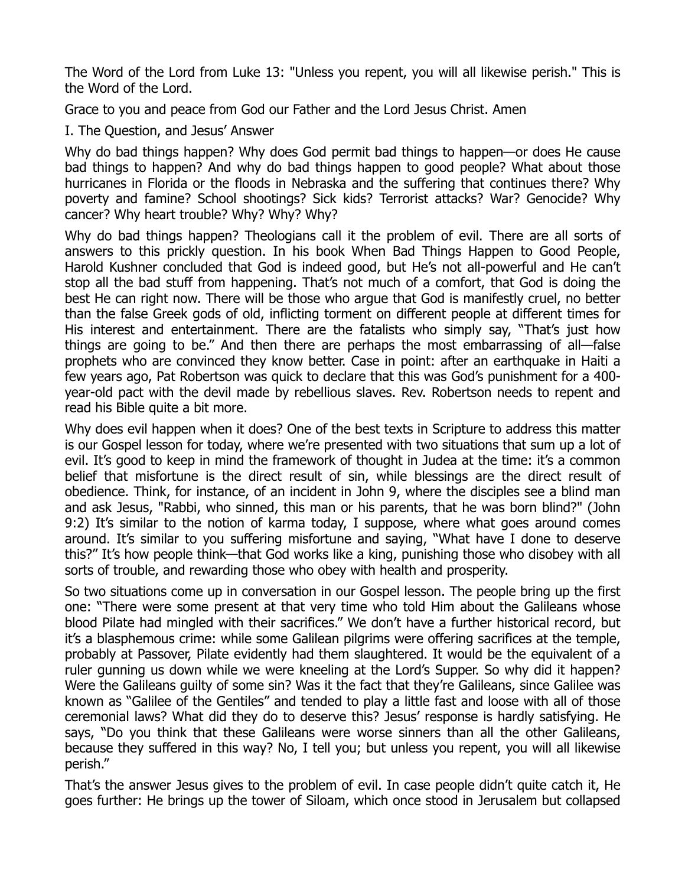The Word of the Lord from Luke 13: "Unless you repent, you will all likewise perish." This is the Word of the Lord.

Grace to you and peace from God our Father and the Lord Jesus Christ. Amen

I. The Question, and Jesus' Answer

Why do bad things happen? Why does God permit bad things to happen—or does He cause bad things to happen? And why do bad things happen to good people? What about those hurricanes in Florida or the floods in Nebraska and the suffering that continues there? Why poverty and famine? School shootings? Sick kids? Terrorist attacks? War? Genocide? Why cancer? Why heart trouble? Why? Why? Why?

Why do bad things happen? Theologians call it the problem of evil. There are all sorts of answers to this prickly question. In his book When Bad Things Happen to Good People, Harold Kushner concluded that God is indeed good, but He's not all-powerful and He can't stop all the bad stuff from happening. That's not much of a comfort, that God is doing the best He can right now. There will be those who argue that God is manifestly cruel, no better than the false Greek gods of old, inflicting torment on different people at different times for His interest and entertainment. There are the fatalists who simply say, "That's just how things are going to be." And then there are perhaps the most embarrassing of all—false prophets who are convinced they know better. Case in point: after an earthquake in Haiti a few years ago, Pat Robertson was quick to declare that this was God's punishment for a 400 year-old pact with the devil made by rebellious slaves. Rev. Robertson needs to repent and read his Bible quite a bit more.

Why does evil happen when it does? One of the best texts in Scripture to address this matter is our Gospel lesson for today, where we're presented with two situations that sum up a lot of evil. It's good to keep in mind the framework of thought in Judea at the time: it's a common belief that misfortune is the direct result of sin, while blessings are the direct result of obedience. Think, for instance, of an incident in John 9, where the disciples see a blind man and ask Jesus, "Rabbi, who sinned, this man or his parents, that he was born blind?" (John 9:2) It's similar to the notion of karma today, I suppose, where what goes around comes around. It's similar to you suffering misfortune and saying, "What have I done to deserve this?" It's how people think—that God works like a king, punishing those who disobey with all sorts of trouble, and rewarding those who obey with health and prosperity.

So two situations come up in conversation in our Gospel lesson. The people bring up the first one: "There were some present at that very time who told Him about the Galileans whose blood Pilate had mingled with their sacrifices." We don't have a further historical record, but it's a blasphemous crime: while some Galilean pilgrims were offering sacrifices at the temple, probably at Passover, Pilate evidently had them slaughtered. It would be the equivalent of a ruler gunning us down while we were kneeling at the Lord's Supper. So why did it happen? Were the Galileans guilty of some sin? Was it the fact that they're Galileans, since Galilee was known as "Galilee of the Gentiles" and tended to play a little fast and loose with all of those ceremonial laws? What did they do to deserve this? Jesus' response is hardly satisfying. He says, "Do you think that these Galileans were worse sinners than all the other Galileans, because they suffered in this way? No, I tell you; but unless you repent, you will all likewise perish."

That's the answer Jesus gives to the problem of evil. In case people didn't quite catch it, He goes further: He brings up the tower of Siloam, which once stood in Jerusalem but collapsed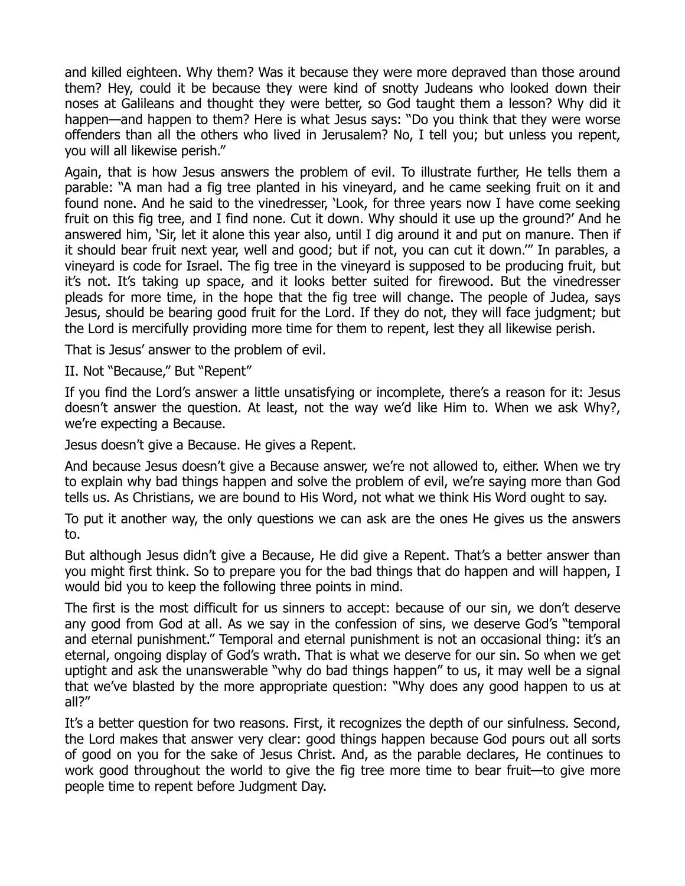and killed eighteen. Why them? Was it because they were more depraved than those around them? Hey, could it be because they were kind of snotty Judeans who looked down their noses at Galileans and thought they were better, so God taught them a lesson? Why did it happen—and happen to them? Here is what Jesus says: "Do you think that they were worse offenders than all the others who lived in Jerusalem? No, I tell you; but unless you repent, you will all likewise perish."

Again, that is how Jesus answers the problem of evil. To illustrate further, He tells them a parable: "A man had a fig tree planted in his vineyard, and he came seeking fruit on it and found none. And he said to the vinedresser, 'Look, for three years now I have come seeking fruit on this fig tree, and I find none. Cut it down. Why should it use up the ground?' And he answered him, 'Sir, let it alone this year also, until I dig around it and put on manure. Then if it should bear fruit next year, well and good; but if not, you can cut it down.'" In parables, a vineyard is code for Israel. The fig tree in the vineyard is supposed to be producing fruit, but it's not. It's taking up space, and it looks better suited for firewood. But the vinedresser pleads for more time, in the hope that the fig tree will change. The people of Judea, says Jesus, should be bearing good fruit for the Lord. If they do not, they will face judgment; but the Lord is mercifully providing more time for them to repent, lest they all likewise perish.

That is Jesus' answer to the problem of evil.

II. Not "Because," But "Repent"

If you find the Lord's answer a little unsatisfying or incomplete, there's a reason for it: Jesus doesn't answer the question. At least, not the way we'd like Him to. When we ask Why?, we're expecting a Because.

Jesus doesn't give a Because. He gives a Repent.

And because Jesus doesn't give a Because answer, we're not allowed to, either. When we try to explain why bad things happen and solve the problem of evil, we're saying more than God tells us. As Christians, we are bound to His Word, not what we think His Word ought to say.

To put it another way, the only questions we can ask are the ones He gives us the answers to.

But although Jesus didn't give a Because, He did give a Repent. That's a better answer than you might first think. So to prepare you for the bad things that do happen and will happen, I would bid you to keep the following three points in mind.

The first is the most difficult for us sinners to accept: because of our sin, we don't deserve any good from God at all. As we say in the confession of sins, we deserve God's "temporal and eternal punishment." Temporal and eternal punishment is not an occasional thing: it's an eternal, ongoing display of God's wrath. That is what we deserve for our sin. So when we get uptight and ask the unanswerable "why do bad things happen" to us, it may well be a signal that we've blasted by the more appropriate question: "Why does any good happen to us at all?"

It's a better question for two reasons. First, it recognizes the depth of our sinfulness. Second, the Lord makes that answer very clear: good things happen because God pours out all sorts of good on you for the sake of Jesus Christ. And, as the parable declares, He continues to work good throughout the world to give the fig tree more time to bear fruit—to give more people time to repent before Judgment Day.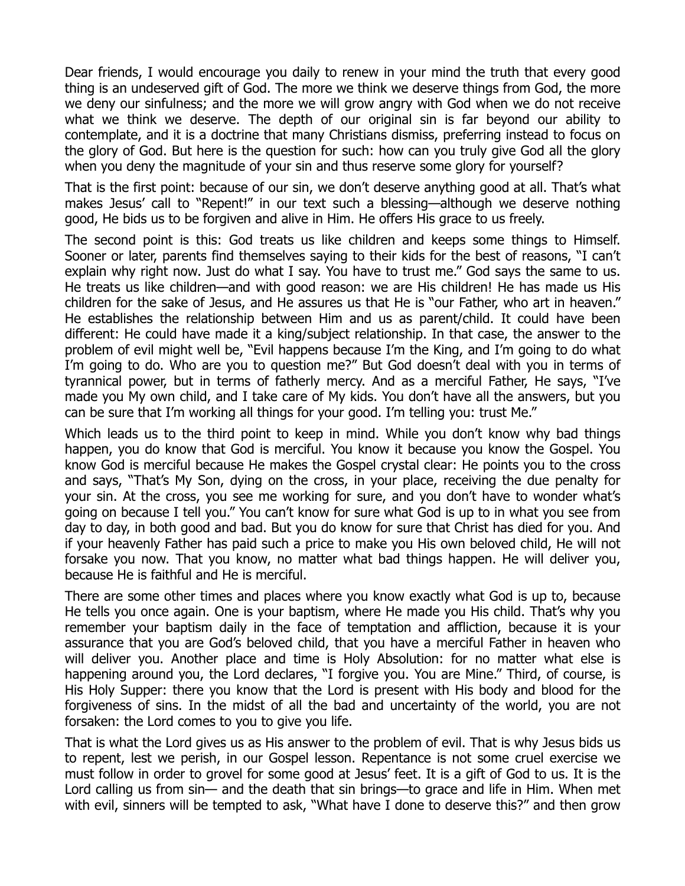Dear friends, I would encourage you daily to renew in your mind the truth that every good thing is an undeserved gift of God. The more we think we deserve things from God, the more we deny our sinfulness; and the more we will grow angry with God when we do not receive what we think we deserve. The depth of our original sin is far beyond our ability to contemplate, and it is a doctrine that many Christians dismiss, preferring instead to focus on the glory of God. But here is the question for such: how can you truly give God all the glory when you deny the magnitude of your sin and thus reserve some glory for yourself?

That is the first point: because of our sin, we don't deserve anything good at all. That's what makes Jesus' call to "Repent!" in our text such a blessing—although we deserve nothing good, He bids us to be forgiven and alive in Him. He offers His grace to us freely.

The second point is this: God treats us like children and keeps some things to Himself. Sooner or later, parents find themselves saying to their kids for the best of reasons, "I can't explain why right now. Just do what I say. You have to trust me." God says the same to us. He treats us like children—and with good reason: we are His children! He has made us His children for the sake of Jesus, and He assures us that He is "our Father, who art in heaven." He establishes the relationship between Him and us as parent/child. It could have been different: He could have made it a king/subject relationship. In that case, the answer to the problem of evil might well be, "Evil happens because I'm the King, and I'm going to do what I'm going to do. Who are you to question me?" But God doesn't deal with you in terms of tyrannical power, but in terms of fatherly mercy. And as a merciful Father, He says, "I've made you My own child, and I take care of My kids. You don't have all the answers, but you can be sure that I'm working all things for your good. I'm telling you: trust Me."

Which leads us to the third point to keep in mind. While you don't know why bad things happen, you do know that God is merciful. You know it because you know the Gospel. You know God is merciful because He makes the Gospel crystal clear: He points you to the cross and says, "That's My Son, dying on the cross, in your place, receiving the due penalty for your sin. At the cross, you see me working for sure, and you don't have to wonder what's going on because I tell you." You can't know for sure what God is up to in what you see from day to day, in both good and bad. But you do know for sure that Christ has died for you. And if your heavenly Father has paid such a price to make you His own beloved child, He will not forsake you now. That you know, no matter what bad things happen. He will deliver you, because He is faithful and He is merciful.

There are some other times and places where you know exactly what God is up to, because He tells you once again. One is your baptism, where He made you His child. That's why you remember your baptism daily in the face of temptation and affliction, because it is your assurance that you are God's beloved child, that you have a merciful Father in heaven who will deliver you. Another place and time is Holy Absolution: for no matter what else is happening around you, the Lord declares, "I forgive you. You are Mine." Third, of course, is His Holy Supper: there you know that the Lord is present with His body and blood for the forgiveness of sins. In the midst of all the bad and uncertainty of the world, you are not forsaken: the Lord comes to you to give you life.

That is what the Lord gives us as His answer to the problem of evil. That is why Jesus bids us to repent, lest we perish, in our Gospel lesson. Repentance is not some cruel exercise we must follow in order to grovel for some good at Jesus' feet. It is a gift of God to us. It is the Lord calling us from sin— and the death that sin brings—to grace and life in Him. When met with evil, sinners will be tempted to ask, "What have I done to deserve this?" and then grow